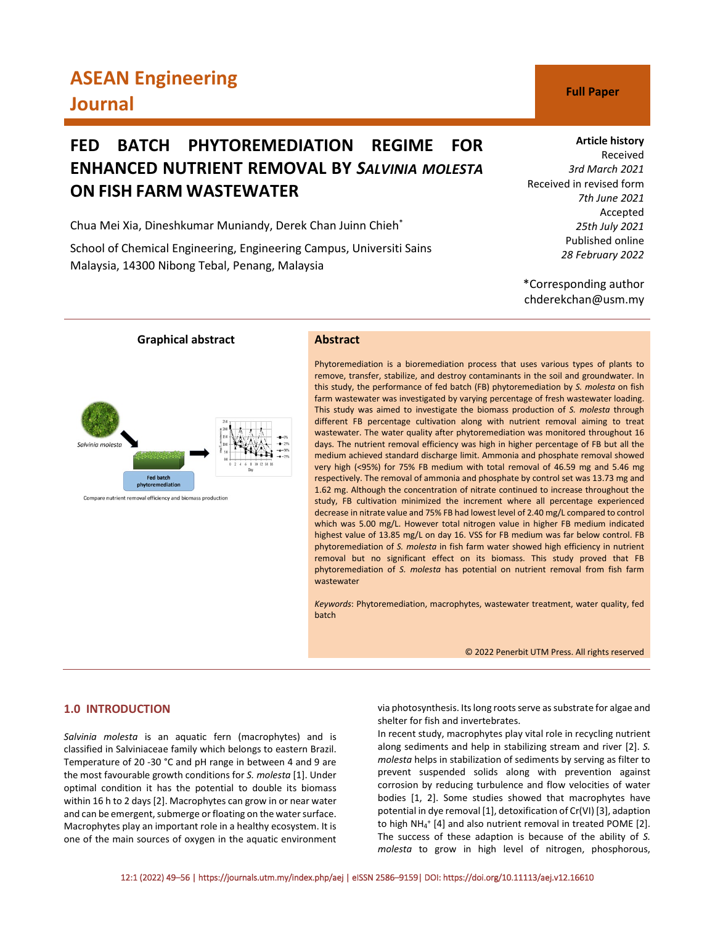# **ASEAN Engineering Journal C Full Paper**

# **FED BATCH PHYTOREMEDIATION REGIME FOR ENHANCED NUTRIENT REMOVAL BY** *SALVINIA MOLESTA* **ON FISH FARM WASTEWATER**

Chua Mei Xia, Dineshkumar Muniandy, Derek Chan Juinn Chieh\*

School of Chemical Engineering, Engineering Campus, Universiti Sains Malaysia, 14300 Nibong Tebal, Penang, Malaysia

# **Article history**

Received *3rd March 2021* Received in revised form *7th June 2021* Accepted *25th July 2021* Published online *28 February 2022*

\*Corresponding author chderekchan@usm.my



Compare nutrient removal efficiency and biomass production

Phytoremediation is a bioremediation process that uses various types of plants to remove, transfer, stabilize, and destroy contaminants in the soil and groundwater. In this study, the performance of fed batch (FB) phytoremediation by *S. molesta* on fish farm wastewater was investigated by varying percentage of fresh wastewater loading. This study was aimed to investigate the biomass production of *S. molesta* through different FB percentage cultivation along with nutrient removal aiming to treat wastewater. The water quality after phytoremediation was monitored throughout 16 days. The nutrient removal efficiency was high in higher percentage of FB but all the medium achieved standard discharge limit. Ammonia and phosphate removal showed very high (˂95%) for 75% FB medium with total removal of 46.59 mg and 5.46 mg respectively. The removal of ammonia and phosphate by control set was 13.73 mg and 1.62 mg. Although the concentration of nitrate continued to increase throughout the study, FB cultivation minimized the increment where all percentage experienced decrease in nitrate value and 75% FB had lowest level of 2.40 mg/L compared to control which was 5.00 mg/L. However total nitrogen value in higher FB medium indicated highest value of 13.85 mg/L on day 16. VSS for FB medium was far below control. FB phytoremediation of *S. molesta* in fish farm water showed high efficiency in nutrient removal but no significant effect on its biomass. This study proved that FB phytoremediation of *S. molesta* has potential on nutrient removal from fish farm wastewater

*Keywords*: Phytoremediation, macrophytes, wastewater treatment, water quality, fed batch

© 2022 Penerbit UTM Press. All rights reserved

# **1.0 INTRODUCTION**

*Salvinia molesta* is an aquatic fern (macrophytes) and is classified in Salviniaceae family which belongs to eastern Brazil. Temperature of 20 -30 °C and pH range in between 4 and 9 are the most favourable growth conditions for *S. molesta* [1]. Under optimal condition it has the potential to double its biomass within 16 h to 2 days [2]. Macrophytes can grow in or near water and can be emergent, submerge or floating on the water surface. Macrophytes play an important role in a healthy ecosystem. It is one of the main sources of oxygen in the aquatic environment via photosynthesis. Its long roots serve as substrate for algae and shelter for fish and invertebrates.

In recent study, macrophytes play vital role in recycling nutrient along sediments and help in stabilizing stream and river [2]. *S. molesta* helps in stabilization of sediments by serving as filter to prevent suspended solids along with prevention against corrosion by reducing turbulence and flow velocities of water bodies [1, 2]. Some studies showed that macrophytes have potential in dye removal [1], detoxification of Cr(VI) [3], adaption to high NH<sub>4</sub><sup>+</sup> [4] and also nutrient removal in treated POME [2]. The success of these adaption is because of the ability of *S. molesta* to grow in high level of nitrogen, phosphorous,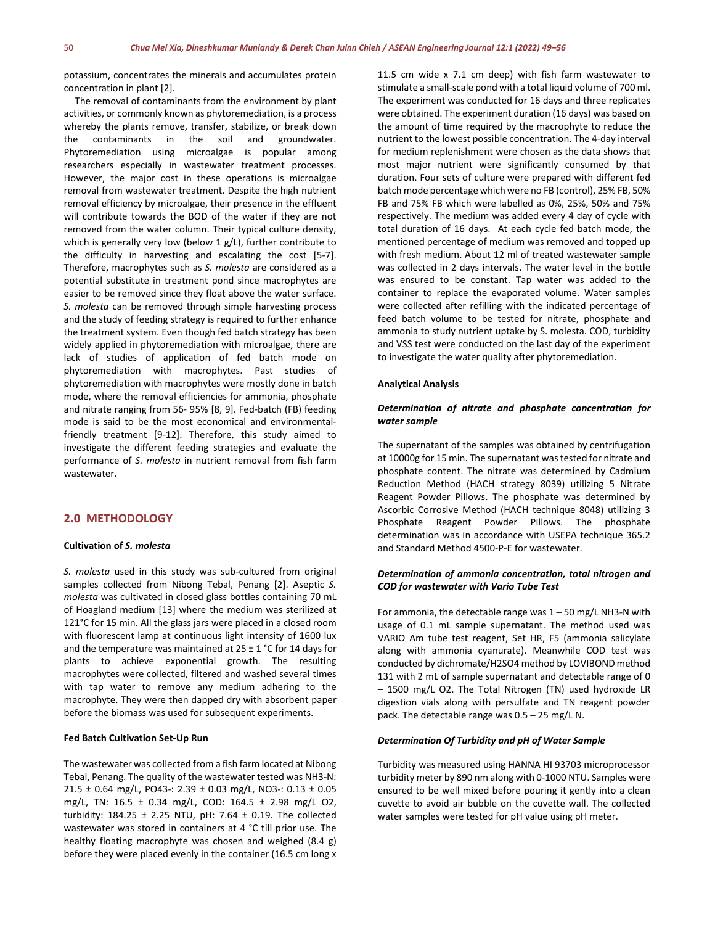potassium, concentrates the minerals and accumulates protein concentration in plant [2].

The removal of contaminants from the environment by plant activities, or commonly known as phytoremediation, is a process whereby the plants remove, transfer, stabilize, or break down the contaminants in the soil and groundwater. Phytoremediation using microalgae is popular among researchers especially in wastewater treatment processes. However, the major cost in these operations is microalgae removal from wastewater treatment. Despite the high nutrient removal efficiency by microalgae, their presence in the effluent will contribute towards the BOD of the water if they are not removed from the water column. Their typical culture density, which is generally very low (below 1 g/L), further contribute to the difficulty in harvesting and escalating the cost [5-7]. Therefore, macrophytes such as *S. molesta* are considered as a potential substitute in treatment pond since macrophytes are easier to be removed since they float above the water surface. *S. molesta* can be removed through simple harvesting process and the study of feeding strategy is required to further enhance the treatment system. Even though fed batch strategy has been widely applied in phytoremediation with microalgae, there are lack of studies of application of fed batch mode on phytoremediation with macrophytes. Past studies of phytoremediation with macrophytes were mostly done in batch mode, where the removal efficiencies for ammonia, phosphate and nitrate ranging from 56- 95% [8, 9]. Fed-batch (FB) feeding mode is said to be the most economical and environmentalfriendly treatment [9-12]. Therefore, this study aimed to investigate the different feeding strategies and evaluate the performance of *S. molesta* in nutrient removal from fish farm wastewater.

# **2.0 METHODOLOGY**

### **Cultivation of** *S. molesta*

*S. molesta* used in this study was sub-cultured from original samples collected from Nibong Tebal, Penang [2]. Aseptic *S. molesta* was cultivated in closed glass bottles containing 70 mL of Hoagland medium [13] where the medium was sterilized at 121°C for 15 min. All the glass jars were placed in a closed room with fluorescent lamp at continuous light intensity of 1600 lux and the temperature was maintained at  $25 \pm 1$  °C for 14 days for plants to achieve exponential growth. The resulting macrophytes were collected, filtered and washed several times with tap water to remove any medium adhering to the macrophyte. They were then dapped dry with absorbent paper before the biomass was used for subsequent experiments.

### **Fed Batch Cultivation Set-Up Run**

The wastewater was collected from a fish farm located at Nibong Tebal, Penang. The quality of the wastewater tested was NH3-N: 21.5 ± 0.64 mg/L, PO43-: 2.39 ± 0.03 mg/L, NO3-: 0.13 ± 0.05 mg/L, TN: 16.5 ± 0.34 mg/L, COD: 164.5 ± 2.98 mg/L O2, turbidity: 184.25 ± 2.25 NTU, pH: 7.64 ± 0.19. The collected wastewater was stored in containers at 4 °C till prior use. The healthy floating macrophyte was chosen and weighed (8.4 g) before they were placed evenly in the container (16.5 cm long x 11.5 cm wide x 7.1 cm deep) with fish farm wastewater to stimulate a small-scale pond with a total liquid volume of 700 ml. The experiment was conducted for 16 days and three replicates were obtained. The experiment duration (16 days) was based on the amount of time required by the macrophyte to reduce the nutrient to the lowest possible concentration. The 4-day interval for medium replenishment were chosen as the data shows that most major nutrient were significantly consumed by that duration. Four sets of culture were prepared with different fed batch mode percentage which were no FB (control), 25% FB, 50% FB and 75% FB which were labelled as 0%, 25%, 50% and 75% respectively. The medium was added every 4 day of cycle with total duration of 16 days. At each cycle fed batch mode, the mentioned percentage of medium was removed and topped up with fresh medium. About 12 ml of treated wastewater sample was collected in 2 days intervals. The water level in the bottle was ensured to be constant. Tap water was added to the container to replace the evaporated volume. Water samples were collected after refilling with the indicated percentage of feed batch volume to be tested for nitrate, phosphate and ammonia to study nutrient uptake by S. molesta. COD, turbidity and VSS test were conducted on the last day of the experiment to investigate the water quality after phytoremediation.

#### **Analytical Analysis**

# *Determination of nitrate and phosphate concentration for water sample*

The supernatant of the samples was obtained by centrifugation at 10000g for 15 min. The supernatant was tested for nitrate and phosphate content. The nitrate was determined by Cadmium Reduction Method (HACH strategy 8039) utilizing 5 Nitrate Reagent Powder Pillows. The phosphate was determined by Ascorbic Corrosive Method (HACH technique 8048) utilizing 3 Phosphate Reagent Powder Pillows. The phosphate determination was in accordance with USEPA technique 365.2 and Standard Method 4500-P-E for wastewater.

# *Determination of ammonia concentration, total nitrogen and COD for wastewater with Vario Tube Test*

For ammonia, the detectable range was  $1 - 50$  mg/L NH3-N with usage of 0.1 mL sample supernatant. The method used was VARIO Am tube test reagent, Set HR, F5 (ammonia salicylate along with ammonia cyanurate). Meanwhile COD test was conducted by dichromate/H2SO4 method by LOVIBOND method 131 with 2 mL of sample supernatant and detectable range of 0 – 1500 mg/L O2. The Total Nitrogen (TN) used hydroxide LR digestion vials along with persulfate and TN reagent powder pack. The detectable range was 0.5 – 25 mg/L N.

# *Determination Of Turbidity and pH of Water Sample*

Turbidity was measured using HANNA HI 93703 microprocessor turbidity meter by 890 nm along with 0-1000 NTU. Samples were ensured to be well mixed before pouring it gently into a clean cuvette to avoid air bubble on the cuvette wall. The collected water samples were tested for pH value using pH meter.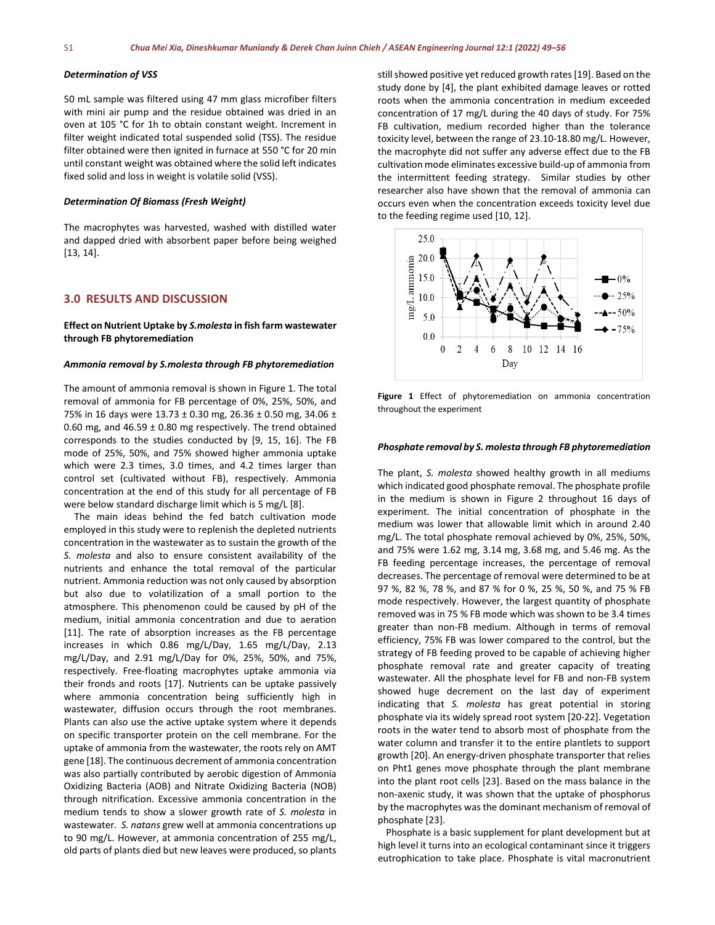## *Determination of VSS*

50 mL sample was filtered using 47 mm glass microfiber filters with mini air pump and the residue obtained was dried in an oven at 105 °C for 1h to obtain constant weight. Increment in filter weight indicated total suspended solid (TSS). The residue filter obtained were then ignited in furnace at 550 °C for 20 min until constant weight was obtained where the solid left indicates fixed solid and loss in weight is volatile solid (VSS).

#### *Determination Of Biomass (Fresh Weight)*

The macrophytes was harvested, washed with distilled water and dapped dried with absorbent paper before being weighed [13, 14].

# **3.0 RESULTS AND DISCUSSION**

# **Effect on Nutrient Uptake by** *S.molesta* **in fish farm wastewater through FB phytoremediation**

# *Ammonia removal by S.molesta through FB phytoremediation*

The amount of ammonia removal is shown in Figure 1. The total removal of ammonia for FB percentage of 0%, 25%, 50%, and 75% in 16 days were 13.73 ± 0.30 mg, 26.36 ± 0.50 mg, 34.06 ± 0.60 mg, and 46.59  $\pm$  0.80 mg respectively. The trend obtained corresponds to the studies conducted by [9, 15, 16]. The FB mode of 25%, 50%, and 75% showed higher ammonia uptake which were 2.3 times, 3.0 times, and 4.2 times larger than control set (cultivated without FB), respectively. Ammonia concentration at the end of this study for all percentage of FB were below standard discharge limit which is 5 mg/L [8].

The main ideas behind the fed batch cultivation mode employed in this study were to replenish the depleted nutrients concentration in the wastewater as to sustain the growth of the *S. molesta* and also to ensure consistent availability of the nutrients and enhance the total removal of the particular nutrient. Ammonia reduction was not only caused by absorption but also due to volatilization of a small portion to the atmosphere. This phenomenon could be caused by pH of the medium, initial ammonia concentration and due to aeration [11]. The rate of absorption increases as the FB percentage increases in which 0.86 mg/L/Day, 1.65 mg/L/Day, 2.13 mg/L/Day, and 2.91 mg/L/Day for 0%, 25%, 50%, and 75%, respectively. Free-floating macrophytes uptake ammonia via their fronds and roots [17]. Nutrients can be uptake passively where ammonia concentration being sufficiently high in wastewater, diffusion occurs through the root membranes. Plants can also use the active uptake system where it depends on specific transporter protein on the cell membrane. For the uptake of ammonia from the wastewater, the roots rely on AMT gene [18]. The continuous decrement of ammonia concentration was also partially contributed by aerobic digestion of Ammonia Oxidizing Bacteria (AOB) and Nitrate Oxidizing Bacteria (NOB) through nitrification. Excessive ammonia concentration in the medium tends to show a slower growth rate of *S. molesta* in wastewater. *S. natans* grew well at ammonia concentrations up to 90 mg/L. However, at ammonia concentration of 255 mg/L, old parts of plants died but new leaves were produced, so plants still showed positive yet reduced growth rates [19]. Based on the study done by [4], the plant exhibited damage leaves or rotted roots when the ammonia concentration in medium exceeded concentration of 17 mg/L during the 40 days of study. For 75% FB cultivation, medium recorded higher than the tolerance toxicity level, between the range of 23.10-18.80 mg/L. However, the macrophyte did not suffer any adverse effect due to the FB cultivation mode eliminates excessive build-up of ammonia from the intermittent feeding strategy. Similar studies by other researcher also have shown that the removal of ammonia can occurs even when the concentration exceeds toxicity level due to the feeding regime used [10, 12].



**Figure 1** Effect of phytoremediation on ammonia concentration throughout the experiment

# *Phosphate removal by S. molesta through FB phytoremediation*

The plant, *S. molesta* showed healthy growth in all mediums which indicated good phosphate removal. The phosphate profile in the medium is shown in Figure 2 throughout 16 days of experiment. The initial concentration of phosphate in the medium was lower that allowable limit which in around 2.40 mg/L. The total phosphate removal achieved by 0%, 25%, 50%, and 75% were 1.62 mg, 3.14 mg, 3.68 mg, and 5.46 mg. As the FB feeding percentage increases, the percentage of removal decreases. The percentage of removal were determined to be at 97 %, 82 %, 78 %, and 87 % for 0 %, 25 %, 50 %, and 75 % FB mode respectively. However, the largest quantity of phosphate removed was in 75 % FB mode which was shown to be 3.4 times greater than non-FB medium. Although in terms of removal efficiency, 75% FB was lower compared to the control, but the strategy of FB feeding proved to be capable of achieving higher phosphate removal rate and greater capacity of treating wastewater. All the phosphate level for FB and non-FB system showed huge decrement on the last day of experiment indicating that *S. molesta* has great potential in storing phosphate via its widely spread root system [20-22]. Vegetation roots in the water tend to absorb most of phosphate from the water column and transfer it to the entire plantlets to support growth [20]. An energy-driven phosphate transporter that relies on Pht1 genes move phosphate through the plant membrane into the plant root cells [23]. Based on the mass balance in the non-axenic study, it was shown that the uptake of phosphorus by the macrophytes was the dominant mechanism of removal of phosphate [23].

Phosphate is a basic supplement for plant development but at high level it turns into an ecological contaminant since it triggers eutrophication to take place. Phosphate is vital macronutrient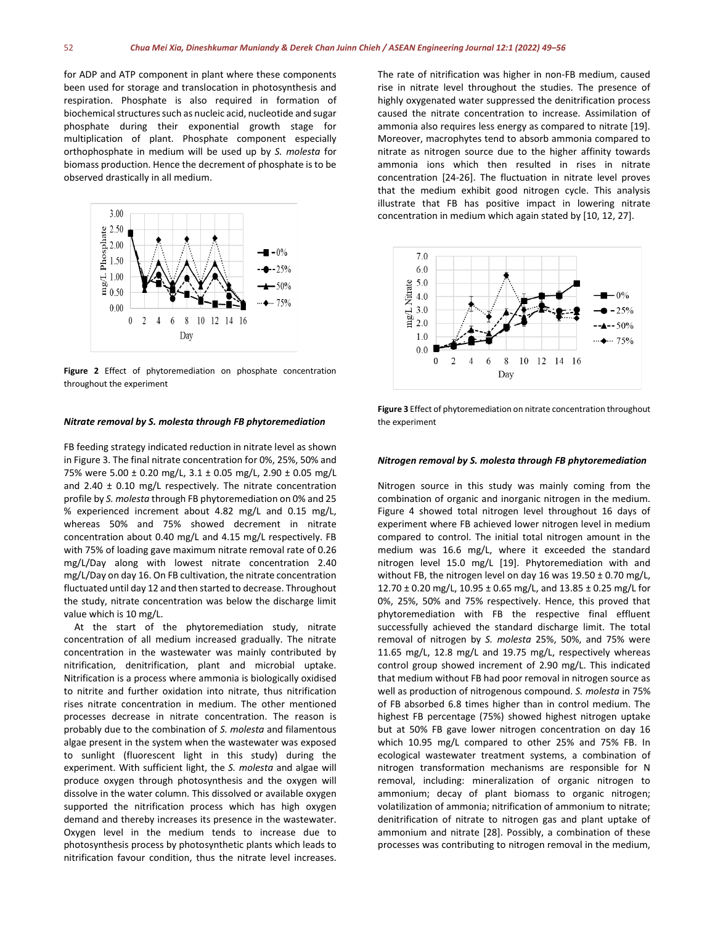for ADP and ATP component in plant where these components been used for storage and translocation in photosynthesis and respiration. Phosphate is also required in formation of biochemical structures such as nucleic acid, nucleotide and sugar phosphate during their exponential growth stage for multiplication of plant. Phosphate component especially orthophosphate in medium will be used up by *S. molesta* for biomass production. Hence the decrement of phosphate is to be observed drastically in all medium.



**Figure 2** Effect of phytoremediation on phosphate concentration throughout the experiment

#### *Nitrate removal by S. molesta through FB phytoremediation*

FB feeding strategy indicated reduction in nitrate level as shown in Figure 3. The final nitrate concentration for 0%, 25%, 50% and 75% were 5.00 ± 0.20 mg/L, 3.1 ± 0.05 mg/L, 2.90 ± 0.05 mg/L and  $2.40 \pm 0.10$  mg/L respectively. The nitrate concentration profile by *S. molesta* through FB phytoremediation on 0% and 25 % experienced increment about 4.82 mg/L and 0.15 mg/L, whereas 50% and 75% showed decrement in nitrate concentration about 0.40 mg/L and 4.15 mg/L respectively. FB with 75% of loading gave maximum nitrate removal rate of 0.26 mg/L/Day along with lowest nitrate concentration 2.40 mg/L/Day on day 16. On FB cultivation, the nitrate concentration fluctuated until day 12 and then started to decrease. Throughout the study, nitrate concentration was below the discharge limit value which is 10 mg/L.

At the start of the phytoremediation study, nitrate concentration of all medium increased gradually. The nitrate concentration in the wastewater was mainly contributed by nitrification, denitrification, plant and microbial uptake. Nitrification is a process where ammonia is biologically oxidised to nitrite and further oxidation into nitrate, thus nitrification rises nitrate concentration in medium. The other mentioned processes decrease in nitrate concentration. The reason is probably due to the combination of *S. molesta* and filamentous algae present in the system when the wastewater was exposed to sunlight (fluorescent light in this study) during the experiment. With sufficient light, the *S. molesta* and algae will produce oxygen through photosynthesis and the oxygen will dissolve in the water column. This dissolved or available oxygen supported the nitrification process which has high oxygen demand and thereby increases its presence in the wastewater. Oxygen level in the medium tends to increase due to photosynthesis process by photosynthetic plants which leads to nitrification favour condition, thus the nitrate level increases.

The rate of nitrification was higher in non-FB medium, caused rise in nitrate level throughout the studies. The presence of highly oxygenated water suppressed the denitrification process caused the nitrate concentration to increase. Assimilation of ammonia also requires less energy as compared to nitrate [19]. Moreover, macrophytes tend to absorb ammonia compared to nitrate as nitrogen source due to the higher affinity towards ammonia ions which then resulted in rises in nitrate concentration [24-26]. The fluctuation in nitrate level proves that the medium exhibit good nitrogen cycle. This analysis illustrate that FB has positive impact in lowering nitrate concentration in medium which again stated by [10, 12, 27].



**Figure 3** Effect of phytoremediation on nitrate concentration throughout the experiment

#### *Nitrogen removal by S. molesta through FB phytoremediation*

Nitrogen source in this study was mainly coming from the combination of organic and inorganic nitrogen in the medium. Figure 4 showed total nitrogen level throughout 16 days of experiment where FB achieved lower nitrogen level in medium compared to control. The initial total nitrogen amount in the medium was 16.6 mg/L, where it exceeded the standard nitrogen level 15.0 mg/L [19]. Phytoremediation with and without FB, the nitrogen level on day 16 was  $19.50 \pm 0.70$  mg/L, 12.70 ± 0.20 mg/L, 10.95 ± 0.65 mg/L, and 13.85 ± 0.25 mg/L for 0%, 25%, 50% and 75% respectively. Hence, this proved that phytoremediation with FB the respective final effluent successfully achieved the standard discharge limit. The total removal of nitrogen by *S. molesta* 25%, 50%, and 75% were 11.65 mg/L, 12.8 mg/L and 19.75 mg/L, respectively whereas control group showed increment of 2.90 mg/L. This indicated that medium without FB had poor removal in nitrogen source as well as production of nitrogenous compound. *S. molesta* in 75% of FB absorbed 6.8 times higher than in control medium. The highest FB percentage (75%) showed highest nitrogen uptake but at 50% FB gave lower nitrogen concentration on day 16 which 10.95 mg/L compared to other 25% and 75% FB. In ecological wastewater treatment systems, a combination of nitrogen transformation mechanisms are responsible for N removal, including: mineralization of organic nitrogen to ammonium; decay of plant biomass to organic nitrogen; volatilization of ammonia; nitrification of ammonium to nitrate; denitrification of nitrate to nitrogen gas and plant uptake of ammonium and nitrate [28]. Possibly, a combination of these processes was contributing to nitrogen removal in the medium,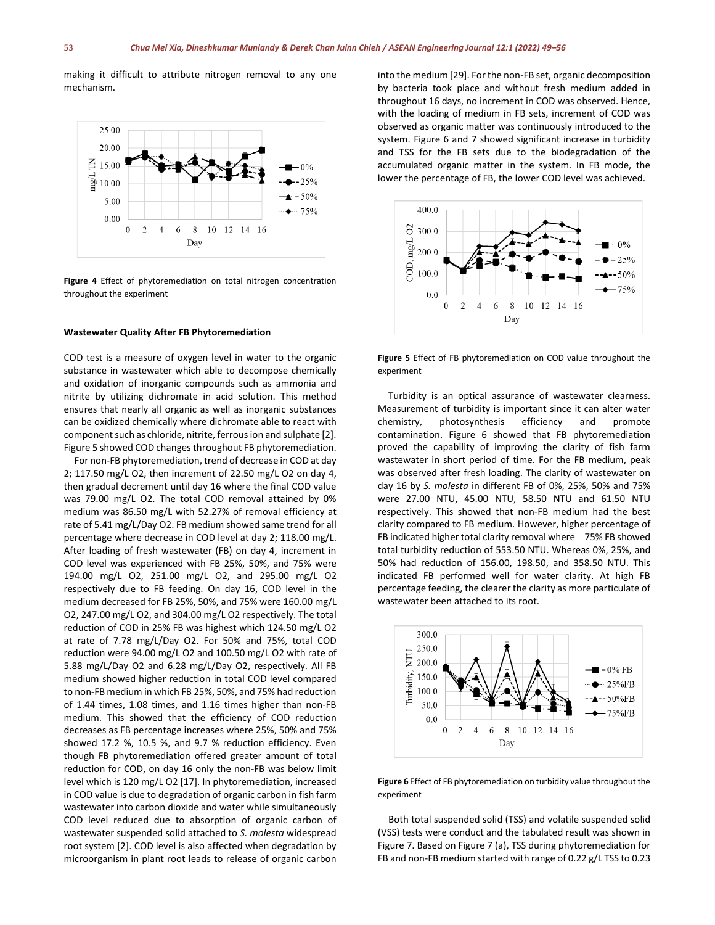making it difficult to attribute nitrogen removal to any one mechanism.



**Figure 4** Effect of phytoremediation on total nitrogen concentration throughout the experiment

#### **Wastewater Quality After FB Phytoremediation**

COD test is a measure of oxygen level in water to the organic substance in wastewater which able to decompose chemically and oxidation of inorganic compounds such as ammonia and nitrite by utilizing dichromate in acid solution. This method ensures that nearly all organic as well as inorganic substances can be oxidized chemically where dichromate able to react with component such as chloride, nitrite, ferrous ion and sulphate [2]. Figure 5 showed COD changes throughout FB phytoremediation.

For non-FB phytoremediation, trend of decrease in COD at day 2; 117.50 mg/L O2, then increment of 22.50 mg/L O2 on day 4, then gradual decrement until day 16 where the final COD value was 79.00 mg/L O2. The total COD removal attained by 0% medium was 86.50 mg/L with 52.27% of removal efficiency at rate of 5.41 mg/L/Day O2. FB medium showed same trend for all percentage where decrease in COD level at day 2; 118.00 mg/L. After loading of fresh wastewater (FB) on day 4, increment in COD level was experienced with FB 25%, 50%, and 75% were 194.00 mg/L O2, 251.00 mg/L O2, and 295.00 mg/L O2 respectively due to FB feeding. On day 16, COD level in the medium decreased for FB 25%, 50%, and 75% were 160.00 mg/L O2, 247.00 mg/L O2, and 304.00 mg/L O2 respectively. The total reduction of COD in 25% FB was highest which 124.50 mg/L O2 at rate of 7.78 mg/L/Day O2. For 50% and 75%, total COD reduction were 94.00 mg/L O2 and 100.50 mg/L O2 with rate of 5.88 mg/L/Day O2 and 6.28 mg/L/Day O2, respectively. All FB medium showed higher reduction in total COD level compared to non-FB medium in which FB 25%, 50%, and 75% had reduction of 1.44 times, 1.08 times, and 1.16 times higher than non-FB medium. This showed that the efficiency of COD reduction decreases as FB percentage increases where 25%, 50% and 75% showed 17.2 %, 10.5 %, and 9.7 % reduction efficiency. Even though FB phytoremediation offered greater amount of total reduction for COD, on day 16 only the non-FB was below limit level which is 120 mg/L O2 [17]. In phytoremediation, increased in COD value is due to degradation of organic carbon in fish farm wastewater into carbon dioxide and water while simultaneously COD level reduced due to absorption of organic carbon of wastewater suspended solid attached to *S. molesta* widespread root system [2]. COD level is also affected when degradation by microorganism in plant root leads to release of organic carbon into the medium [29]. For the non-FB set, organic decomposition by bacteria took place and without fresh medium added in throughout 16 days, no increment in COD was observed. Hence, with the loading of medium in FB sets, increment of COD was observed as organic matter was continuously introduced to the system. Figure 6 and 7 showed significant increase in turbidity and TSS for the FB sets due to the biodegradation of the accumulated organic matter in the system. In FB mode, the lower the percentage of FB, the lower COD level was achieved.



**Figure 5** Effect of FB phytoremediation on COD value throughout the experiment

Turbidity is an optical assurance of wastewater clearness. Measurement of turbidity is important since it can alter water chemistry, photosynthesis efficiency and promote contamination. Figure 6 showed that FB phytoremediation proved the capability of improving the clarity of fish farm wastewater in short period of time. For the FB medium, peak was observed after fresh loading. The clarity of wastewater on day 16 by *S. molesta* in different FB of 0%, 25%, 50% and 75% were 27.00 NTU, 45.00 NTU, 58.50 NTU and 61.50 NTU respectively. This showed that non-FB medium had the best clarity compared to FB medium. However, higher percentage of FB indicated higher total clarity removal where 75% FB showed total turbidity reduction of 553.50 NTU. Whereas 0%, 25%, and 50% had reduction of 156.00, 198.50, and 358.50 NTU. This indicated FB performed well for water clarity. At high FB percentage feeding, the clearer the clarity as more particulate of wastewater been attached to its root.



**Figure 6** Effect of FB phytoremediation on turbidity value throughout the experiment

Both total suspended solid (TSS) and volatile suspended solid (VSS) tests were conduct and the tabulated result was shown in Figure 7. Based on Figure 7 (a), TSS during phytoremediation for FB and non-FB medium started with range of 0.22 g/L TSS to 0.23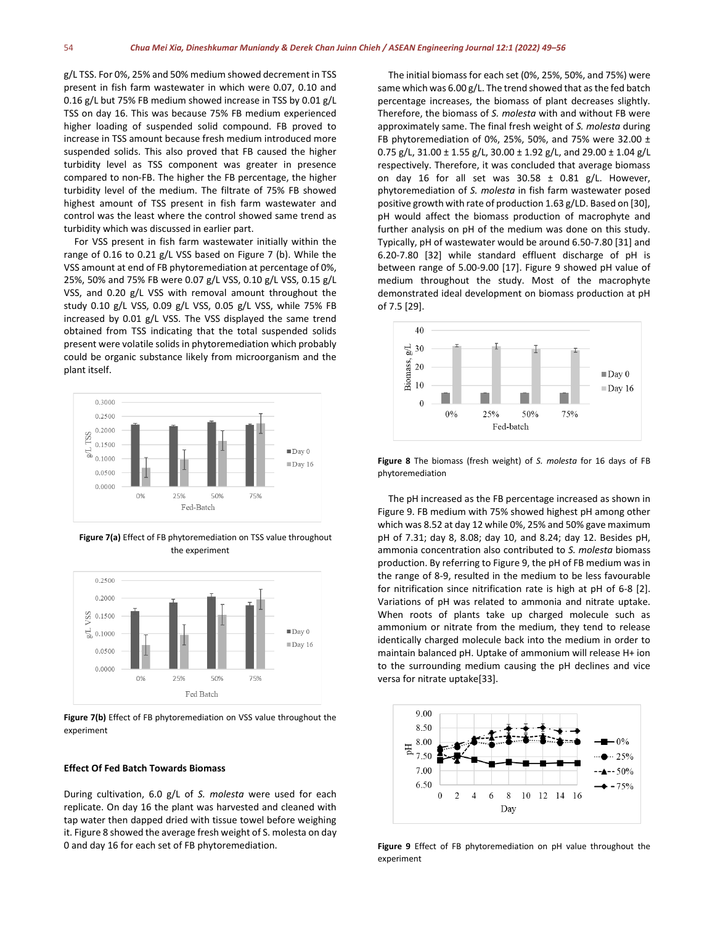g/L TSS. For 0%, 25% and 50% medium showed decrement in TSS present in fish farm wastewater in which were 0.07, 0.10 and 0.16 g/L but 75% FB medium showed increase in TSS by 0.01 g/L TSS on day 16. This was because 75% FB medium experienced higher loading of suspended solid compound. FB proved to increase in TSS amount because fresh medium introduced more suspended solids. This also proved that FB caused the higher turbidity level as TSS component was greater in presence compared to non-FB. The higher the FB percentage, the higher turbidity level of the medium. The filtrate of 75% FB showed highest amount of TSS present in fish farm wastewater and control was the least where the control showed same trend as turbidity which was discussed in earlier part.

For VSS present in fish farm wastewater initially within the range of 0.16 to 0.21 g/L VSS based on Figure 7 (b). While the VSS amount at end of FB phytoremediation at percentage of 0%, 25%, 50% and 75% FB were 0.07 g/L VSS, 0.10 g/L VSS, 0.15 g/L VSS, and 0.20 g/L VSS with removal amount throughout the study 0.10 g/L VSS, 0.09 g/L VSS, 0.05 g/L VSS, while 75% FB increased by 0.01 g/L VSS. The VSS displayed the same trend obtained from TSS indicating that the total suspended solids present were volatile solids in phytoremediation which probably could be organic substance likely from microorganism and the plant itself.



**Figure 7(a)** Effect of FB phytoremediation on TSS value throughout the experiment



**Figure 7(b)** Effect of FB phytoremediation on VSS value throughout the experiment

#### **Effect Of Fed Batch Towards Biomass**

During cultivation, 6.0 g/L of *S. molesta* were used for each replicate. On day 16 the plant was harvested and cleaned with tap water then dapped dried with tissue towel before weighing it. Figure 8 showed the average fresh weight of S. molesta on day 0 and day 16 for each set of FB phytoremediation.

The initial biomass for each set (0%, 25%, 50%, and 75%) were same which was 6.00 g/L. The trend showed that as the fed batch percentage increases, the biomass of plant decreases slightly. Therefore, the biomass of *S. molesta* with and without FB were approximately same. The final fresh weight of *S. molesta* during FB phytoremediation of 0%, 25%, 50%, and 75% were 32.00 ± 0.75 g/L, 31.00 ± 1.55 g/L, 30.00 ± 1.92 g/L, and 29.00 ± 1.04 g/L respectively. Therefore, it was concluded that average biomass on day 16 for all set was  $30.58 \pm 0.81$  g/L. However, phytoremediation of *S. molesta* in fish farm wastewater posed positive growth with rate of production 1.63 g/LD. Based on [30], pH would affect the biomass production of macrophyte and further analysis on pH of the medium was done on this study. Typically, pH of wastewater would be around 6.50-7.80 [31] and 6.20-7.80 [32] while standard effluent discharge of pH is between range of 5.00-9.00 [17]. Figure 9 showed pH value of medium throughout the study. Most of the macrophyte demonstrated ideal development on biomass production at pH of 7.5 [29].



**Figure 8** The biomass (fresh weight) of *S. molesta* for 16 days of FB phytoremediation

The pH increased as the FB percentage increased as shown in Figure 9. FB medium with 75% showed highest pH among other which was 8.52 at day 12 while 0%, 25% and 50% gave maximum pH of 7.31; day 8, 8.08; day 10, and 8.24; day 12. Besides pH, ammonia concentration also contributed to *S. molesta* biomass production. By referring to Figure 9, the pH of FB medium was in the range of 8-9, resulted in the medium to be less favourable for nitrification since nitrification rate is high at pH of 6-8 [2]. Variations of pH was related to ammonia and nitrate uptake. When roots of plants take up charged molecule such as ammonium or nitrate from the medium, they tend to release identically charged molecule back into the medium in order to maintain balanced pH. Uptake of ammonium will release H+ ion to the surrounding medium causing the pH declines and vice versa for nitrate uptake[33].



**Figure 9** Effect of FB phytoremediation on pH value throughout the experiment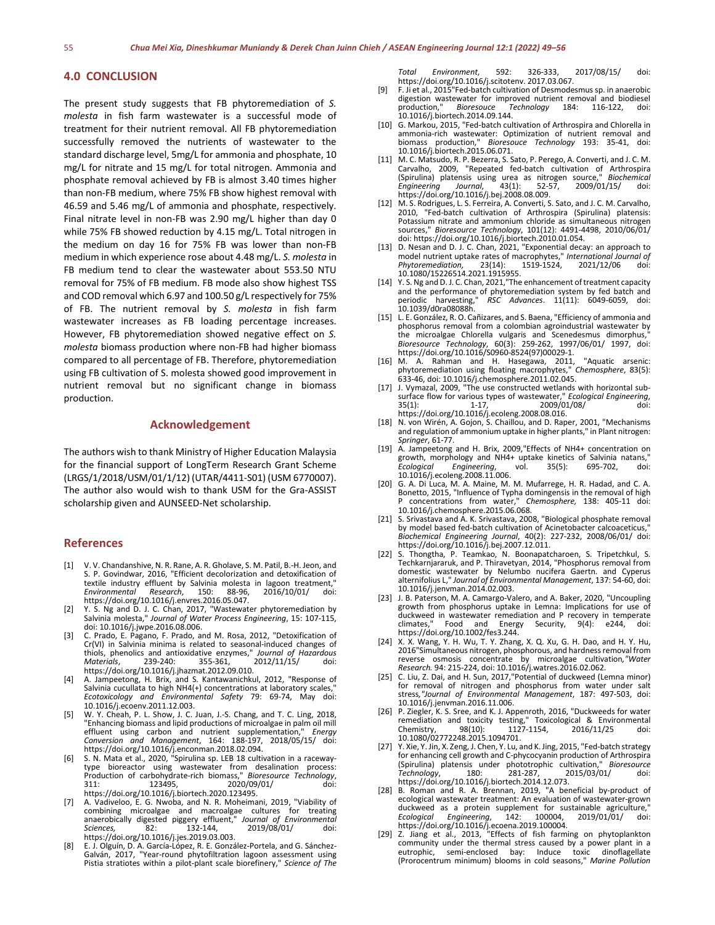# **4.0 CONCLUSION**

The present study suggests that FB phytoremediation of *S. molesta* in fish farm wastewater is a successful mode of treatment for their nutrient removal. All FB phytoremediation successfully removed the nutrients of wastewater to the standard discharge level, 5mg/L for ammonia and phosphate, 10 mg/L for nitrate and 15 mg/L for total nitrogen. Ammonia and phosphate removal achieved by FB is almost 3.40 times higher than non-FB medium, where 75% FB show highest removal with 46.59 and 5.46 mg/L of ammonia and phosphate, respectively. Final nitrate level in non-FB was 2.90 mg/L higher than day 0 while 75% FB showed reduction by 4.15 mg/L. Total nitrogen in the medium on day 16 for 75% FB was lower than non-FB medium in which experience rose about 4.48 mg/L. *S. molesta* in FB medium tend to clear the wastewater about 553.50 NTU removal for 75% of FB medium. FB mode also show highest TSS and COD removal which 6.97 and 100.50 g/L respectively for 75% of FB. The nutrient removal by *S. molesta* in fish farm wastewater increases as FB loading percentage increases. However, FB phytoremediation showed negative effect on *S. molesta* biomass production where non-FB had higher biomass compared to all percentage of FB. Therefore, phytoremediation using FB cultivation of S. molesta showed good improvement in nutrient removal but no significant change in biomass production.

# **Acknowledgement**

The authors wish to thank Ministry of Higher Education Malaysia for the financial support of LongTerm Research Grant Scheme (LRGS/1/2018/USM/01/1/12) (UTAR/4411-S01) (USM 6770007). The author also would wish to thank USM for the Gra-ASSIST scholarship given and AUNSEED-Net scholarship.

#### **References**

- [1] V. V. Chandanshive, N. R. Rane, A. R. Gholave, S. M. Patil, B.-H. Jeon, and S. P. Govindwar, 2016, "Efficient decolorization and detoxification of textile industry effluent by Salvinia molesta in lagoon treatment," *Environmental Research*, 150: 88-96, 2016/10/01/ doi: https://doi.org/10.1016/j.envres.2016.05.047.
- [2] Y. S. Ng and D. J. C. Chan, 2017, "Wastewater phytoremediation by Salvinia molesta," *Journal of Water Process Engineering*, 15: 107-115, doi: 10.1016/j.jwpe.2016.08.006.
- [3] C. Prado, E. Pagano, F. Prado, and M. Rosa, 2012, "Detoxification of Cr(VI) in Salvinia minima is related to seasonal-induced changes of thiols, phenolics and antioxidative enzymes," *Journal of Hazardous Materials*, 239-240: 355-361, 2012/11/15/ doi: https://doi.org/10.1016/j.jhazmat.2012.09.010.
- [4] A. Jampeetong, H. Brix, and S. Kantawanichkul, 2012, "Response of Salvinia cucullata to high NH4(+) concentrations at laboratory scales," *Ecotoxicology and Environmental Safety* 79: 69-74, May doi: 10.1016/j.ecoenv.2011.12.003.
- [5] W. Y. Cheah, P. L. Show, J. C. Juan, J.-S. Chang, and T. C. Ling, 2018, "Enhancing biomass and lipid productions of microalgae in palm oil mill effluent using carbon and nutrient supplementation," *Energy Conversion and Management*, 164: 188-197, 2018/05/15/ doi:
- https://doi.org/10.1016/j.enconman.2018.02.094. [6] S. N. Mata et al., 2020, "Spirulina sp. LEB 18 cultivation in a raceway- type bioreactor using wastewater from desalination process: Production of carbohydrate-rich biomass," *Bioresource Technology*, 311: 123495, 2020/09/01/ doi: https://doi.org/10.1016/j.biortech.2020.123495.
- [7] A. Vadiveloo, E. G. Nwoba, and N. R. Moheimani, 2019, "Viability of combining microalgae and macroalgae cultures for treating anaerobically digested piggery effluent," *Journal of Environmental Sciences,* 82: 132-144, 2019/08/01/ doi: https://doi.org/10.1016/j.jes.2019.03.003.
- [8] E. J. Olguín, D. A. García-López, R. E. González-Portela, and G. Sánchez- Galván, 2017, "Year-round phytofiltration lagoon assessment using Pistia stratiotes within a pilot-plant scale biorefinery," *Science of The*

*Total Environment*, 592: 326-333, 2017/08/15/ doi: https://doi.org/10.1016/j.scitotenv. 2017.03.067. [9] F. Ji et al., 2015"Fed-batch cultivation of Desmodesmus sp. in anaerobic

- digestion wastewater for improved nutrient removal and biodiesel<br>production," Bioresouce Technology 184: 116-122, doi: production," *Bioresouce Technology* 184: 116-122, doi: 10.1016/j.biortech.2014.09.144.
- [10] G. Markou, 2015, "Fed-batch cultivation of Arthrospira and Chlorella in ammonia-rich wastewater: Optimization of nutrient removal and biomass production," *Bioresouce Technology* 193: 35-41, doi: 10.1016/j.biortech.2015.06.071.
- [11] M. C. Matsudo, R. P. Bezerra, S. Sato, P. Perego, A. Converti, and J. C. M. Carvalho, 2009, "Repeated fed-batch cultivation of Arthrospira (Spirulina) platensis using urea as nitrogen source," *Biochemical Engineering Journal*, 43(1): 52-57, 2009/01/15/ doi: https://doi.org/10.1016/j.bej.2008.08.009.
- [12] M. S. Rodrigues, L. S. Ferreira, A. Converti, S. Sato, and J. C. M. Carvalho, 2010, "Fed-batch cultivation of Arthrospira (Spirulina) platensis: Potassium nitrate and ammonium chloride as simultaneous nitrogen sources," *Bioresource Technology*, 101(12): 4491-4498, 2010/06/01/ doi: https://doi.org/10.1016/j.biortech.2010.01.054.
- [13] D. Nesan and D. J. C. Chan, 2021, "Exponential decay: an approach to model nutrient uptake rates of macrophytes," *International Journal of Phytoremediation,* 23(14): 1519-1524, 2021/12/06 doi:
- [14] Y. S. Ng and D. J. C. Chan, 2021,"The enhancement of treatment capacity and the performance of phytoremediation system by fed batch and periodic harvesting," *RSC Advances*. 11(11): 6049-6059, doi: 10.1039/d0ra08088h.
- [15] L. E. González, R. O. Cañizares, and S. Baena, "Efficiency of ammonia and phosphorus removal from a colombian agroindustrial wastewater by the microalgae Chlorella vulgaris and Scenedesmus dimorphus *Bioresource Technology*, 60(3): 259-262, 1997/06/01/ 1997, doi: https://doi.org/10.1016/S0960-8524(97)00029-1. [16] M. A. Rahman and H. Hasegawa, 2011, "Aquatic arsenic:
- phytoremediation using floating macrophytes," *Chemosphere*, 83(5): 633-46, doi: 10.1016/j.chemosphere.2011.02.045.<br>[17] J. Vymazal, 2009, "The use constructed wetlands with horizontal sub-
- [17] J. Vymazal, 2009, "The use constructed wetlands with horizontal sub- surface flow for various types of wastewater," *Ecological Engineering*, 35(1): 1-17, 2009/01/08/ doi:
- https://doi.org/10.1016/j.ecoleng.2008.08.016. [18] N. von Wirén, A. Gojon, S. Chaillou, and D. Raper, 2001, "Mechanisms and regulation of ammonium uptake in higher plants," in Plant nitrogen: *Springer*, 61-77.
- [19] A. Jampeetong and H. Brix, 2009,"Effects of NH4+ concentration on growth, morphology and NH4+ uptake kinetics of Salvinia natans,"<br>Ecological Engineering, vol. 35(5): 695-702, doi: *Engineering*, 10.1016/j.ecoleng.2008.11.006.
- [20] G. A. Di Luca, M. A. Maine, M. M. Mufarrege, H. R. Hadad, and C. A. Bonetto, 2015, "Influence of Typha domingensis in the removal of high concentrations from water," *Chemosphere,* 138: 405-11 doi: 10.1016/j.chemosphere.2015.06.068.
- [21] S. Srivastava and A. K. Srivastava, 2008, "Biological phosphate removal by model based fed-batch cultivation of Acinetobacter calcoaceticus, *Biochemical Engineering Journal*, 40(2): 227-232, 2008/06/01/ doi: https://doi.org/10.1016/j.bej.2007.12.011.
- [22] S. Thongtha, P. Teamkao, N. Boonapatcharoen, S. Tripetchkul, S. Techkarnjararuk, and P. Thiravetyan, 2014, "Phosphorus removal from domestic wastewater by Nelumbo nucifera Gaertn. and Cyperus alternifolius L," *Journal of Environmental Management*, 137: 54-60, doi: 10.1016/j.jenvman.2014.02.003.
- [23] J. B. Paterson, M. A. Camargo-Valero, and A. Baker, 2020, "Uncoupling growth from phosphorus uptake in Lemna: Implications for use of duckweed in wastewater remediation and P recovery in temperate<br>climates," Food and Energy Security, 9(4): e244, doi: climates," Food and Energy Security, 9(4): e244, doi: https://doi.org/10.1002/fes3.244.
- [24] X. X. Wang, Y. H. Wu, T. Y. Zhang, X. Q. Xu, G. H. Dao, and H. Y. Hu, 2016"Simultaneous nitrogen, phosphorous, and hardness removal from reverse osmosis concentrate by microalgae cultivation*,"Water Research.* 94: 215-224, doi: 10.1016/j.watres.2016.02.062.
- [25] C. Liu, Z. Dai, and H. Sun, 2017,"Potential of duckweed (Lemna minor) for removal of nitrogen and phosphorus from water under salt stress*,"Journal of Environmental Management*, 187: 497-503, doi: 10.1016/j.jenvman.2016.11.006.
- [26] P. Ziegler, K. S. Sree, and K. J. Appenroth, 2016, "Duckweeds for water remediation and toxicity testing," Toxicological & Environmental Chemistry, 98(10): 1127-1154, 2016/11/25 doi: Chemistry, 98(10): 112<br>10.1080/02772248.2015.1094701.
- [27] Y. Xie, Y. Jin, X. Zeng, J. Chen, Y. Lu, and K. Jing, 2015, "Fed-batch strategy for enhancing cell growth and C-phycocyanin production of Arthrospira<br>(Spirulina) platensis under phototrophic cultivation." *Bioresource* (Spirulina) platensis under phototrophic cultivation," *Bioresource Technology*, 180: 281-287, 2015/03/01/ doi: https://doi.org/10.1016/j.biortech.2014.12.073.
- [28] B. Roman and R. A. Brennan, 2019, "A beneficial by-product of ecological wastewater treatment: An evaluation of wastewater-grown duckweed as a protein supplement for sustainable agriculture,"<br>Ecological Engineering, 142: 100004, 2019/01/01/ doi: *Engineering*, https://doi.org/10.1016/j.ecoena.2019.100004.
- [29] Z. Jiang et al., 2013, "Effects of fish farming on phytoplankton community under the thermal stress caused by a power plant in a eutrophic, semi-enclosed bay: Induce toxic dinoflagellate (Prorocentrum minimum) blooms in cold seasons," *Marine Pollution*